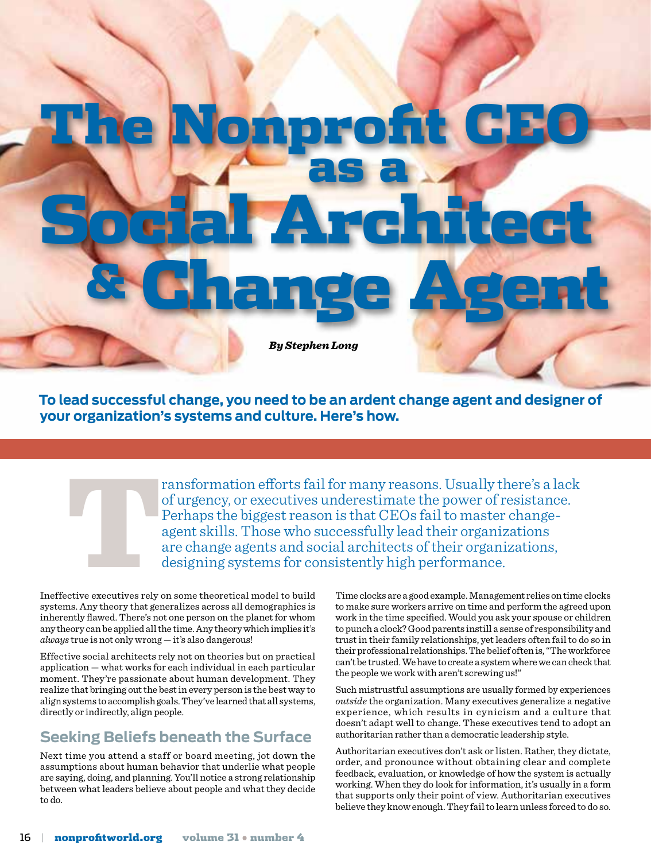

**To lead successful change, you need to be an ardent change agent and designer of your organization's systems and culture. Here's how.**

ransformation efforts fail for many reasons. Usually there's a lack<br>of urgency, or executives underestimate the power of resistance.<br>Perhaps the biggest reason is that CEOs fail to master change-<br>agent skills. Those who su of urgency, or executives underestimate the power of resistance. Perhaps the biggest reason is that CEOs fail to master changeagent skills. Those who successfully lead their organizations are change agents and social architects of their organizations, designing systems for consistently high performance.

Ineffective executives rely on some theoretical model to build systems. Any theory that generalizes across all demographics is inherently flawed. There's not one person on the planet for whom any theory can be applied all the time. Any theory which implies it's *always* true is not only wrong — it's also dangerous!

Effective social architects rely not on theories but on practical application — what works for each individual in each particular moment. They're passionate about human development. They realize that bringing out the best in every person is the best way to align systems to accomplish goals. They've learned that all systems, directly or indirectly, align people.

# **Seeking Beliefs beneath the Surface**

Next time you attend a staff or board meeting, jot down the assumptions about human behavior that underlie what people are saying, doing, and planning. You'll notice a strong relationship between what leaders believe about people and what they decide to do.

Time clocks are a good example. Management relies on time clocks to make sure workers arrive on time and perform the agreed upon work in the time specified. Would you ask your spouse or children to punch a clock? Good parents instill a sense of responsibility and trust in their family relationships, yet leaders often fail to do so in their professional relationships. The belief often is, "The workforce can't be trusted. We have to create a system where we can check that the people we work with aren't screwing us!"

Such mistrustful assumptions are usually formed by experiences *outside* the organization. Many executives generalize a negative experience, which results in cynicism and a culture that doesn't adapt well to change. These executives tend to adopt an authoritarian rather than a democratic leadership style.

Authoritarian executives don't ask or listen. Rather, they dictate, order, and pronounce without obtaining clear and complete feedback, evaluation, or knowledge of how the system is actually working. When they do look for information, it's usually in a form that supports only their point of view. Authoritarian executives believe they know enough. They fail to learn unless forced to do so.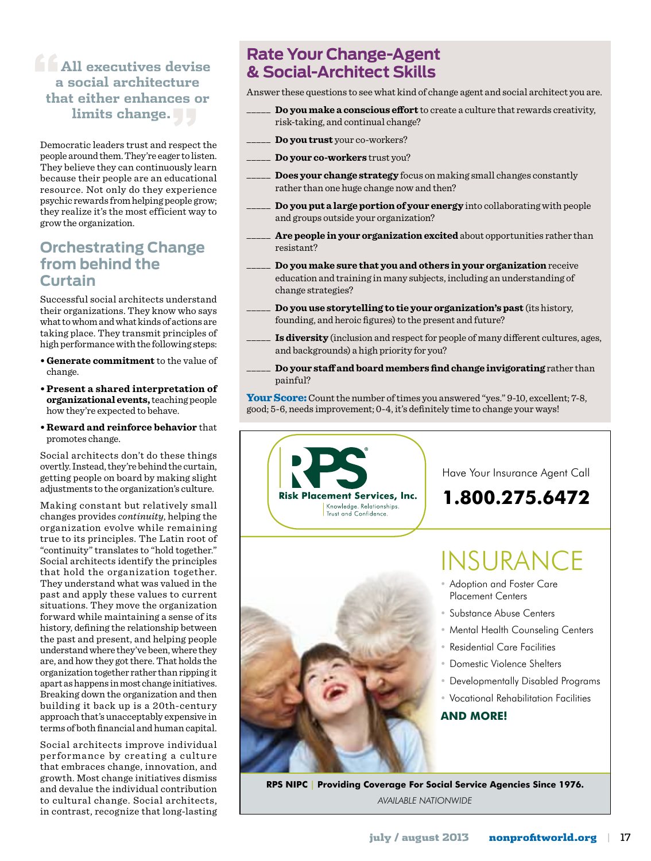### **f <u>All</u>** executives devise **a social architecture that either enhances or limits change."**

Democratic leaders trust and respect the people around them. They're eager to listen. They believe they can continuously learn because their people are an educational resource. Not only do they experience psychic rewards from helping people grow; they realize it's the most efficient way to grow the organization.

### **Orchestrating Change from behind the Curtain**

Successful social architects understand their organizations. They know who says what to whom and what kinds of actions are taking place. They transmit principles of high performance with the following steps:

- **Generate commitment** to the value of change.
- **Present a shared interpretation of organizational events,** teaching people how they're expected to behave.
- **Reward and reinforce behavior** that promotes change.

Social architects don't do these things overtly. Instead, they're behind the curtain, getting people on board by making slight adjustments to the organization's culture.

Making constant but relatively small changes provides *continuity*, helping the organization evolve while remaining true to its principles. The Latin root of "continuity" translates to "hold together." Social architects identify the principles that hold the organization together. They understand what was valued in the past and apply these values to current situations. They move the organization forward while maintaining a sense of its history, defining the relationship between the past and present, and helping people understand where they've been, where they are, and how they got there. That holds the organization together rather than ripping it apart as happens in most change initiatives. Breaking down the organization and then building it back up is a 20th-century approach that's unacceptably expensive in terms of both financial and human capital.

Social architects improve individual performance by creating a culture that embraces change, innovation, and growth. Most change initiatives dismiss and devalue the individual contribution to cultural change. Social architects, in contrast, recognize that long-lasting

## **Rate Your Change-Agent & Social-Architect Skills**

Answer these questions to see what kind of change agent and social architect you are.

- \_\_\_\_\_ **Do you make a conscious effort** to create a culture that rewards creativity, risk-taking, and continual change?
- \_\_\_\_\_ **Do you trust** your co-workers?
- \_\_\_\_\_ **Do your co-workers** trust you?
- \_\_\_\_\_ **Does your change strategy** focus on making small changes constantly rather than one huge change now and then?
- \_\_\_\_\_ **Do you put a large portion of your energy** into collaborating with people and groups outside your organization?
- Are people in your organization excited about opportunities rather than resistant?
- \_\_\_\_\_ **Do you make sure that you and others in your organization** receive education and training in many subjects, including an understanding of change strategies?
- \_\_\_\_\_ **Do you use storytelling to tie your organization's past** (its history, founding, and heroic figures) to the present and future?
- Is diversity (inclusion and respect for people of many different cultures, ages, and backgrounds) a high priority for you?
- \_\_\_\_\_ **Do your staff and board members find change invigorating** rather than painful?

**Your Score:** Count the number of times you answered "yes." 9-10, excellent; 7-8, good; 5-6, needs improvement; 0-4, it's definitely time to change your ways!



*AVAILABLE NATIONWIDE*